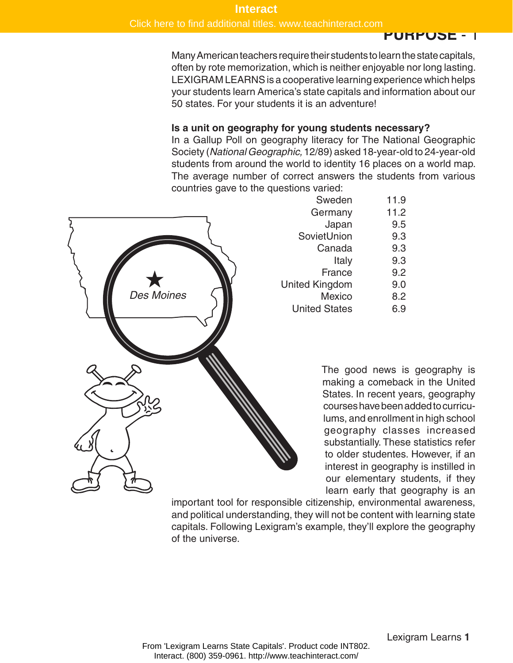Click here to find additional titles. www.teachinteract.com

#### **PURPOSE** - 1

Many American teachers require their students to learn the state capitals, often by rote memorization, which is neither enjoyable nor long lasting. LEXIGRAM LEARNS is a cooperative learning experience which helps your students learn America's state capitals and information about our 50 states. For your students it is an adventure!

#### **Is a unit on geography for young students necessary?**

In a Gallup Poll on geography literacy for The National Geographic Society (*National Geographic,* 12/89) asked 18-year-old to 24-year-old students from around the world to identity 16 places on a world map. The average number of correct answers the students from various countries gave to the questions varied:



| Sweden                | 11.9 |
|-----------------------|------|
| Germany               | 11.2 |
| Japan                 | 9.5  |
| SovietUnion           | 9.3  |
| Canada                | 9.3  |
| Italy                 | 9.3  |
| France                | 9.2  |
| <b>United Kingdom</b> | 9.0  |
| <b>Mexico</b>         | 8.2  |
| <b>United States</b>  | 6.9  |
|                       |      |

The good news is geography is making a comeback in the United States. In recent years, geography courses have been added to curriculums, and enrollment in high school geography classes increased substantially. These statistics refer to older studentes. However, if an interest in geography is instilled in our elementary students, if they learn early that geography is an

important tool for responsible citizenship, environmental awareness, and political understanding, they will not be content with learning state capitals. Following Lexigram's example, they'll explore the geography of the universe.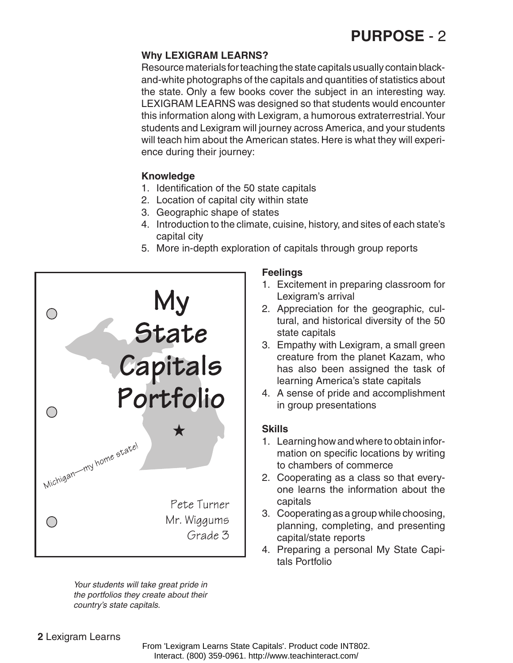## **PURPOSE** - 2

### **Why LEXIGRAM LEARNS?**

Resource materials for teaching the state capitals usually contain blackand-white photographs of the capitals and quantities of statistics about the state. Only a few books cover the subject in an interesting way. LEXIGRAM LEARNS was designed so that students would encounter this information along with Lexigram, a humorous extraterrestrial. Your students and Lexigram will journey across America, and your students will teach him about the American states. Here is what they will experience during their journey:

## **Knowledge**

- 1. Identification of the 50 state capitals
- 2. Location of capital city within state
- 3. Geographic shape of states
- 4. Introduction to the climate, cuisine, history, and sites of each state's capital city
- 5. More in-depth exploration of capitals through group reports



*Your students will take great pride in the portfolios they create about their country's state capitals.*

## **Feelings**

- 1. Excitement in preparing classroom for Lexigram's arrival
- 2. Appreciation for the geographic, cultural, and historical diversity of the 50 state capitals
- 3. Empathy with Lexigram, a small green creature from the planet Kazam, who has also been assigned the task of learning America's state capitals
- 4. A sense of pride and accomplishment in group presentations

## **Skills**

- 1. Learning how and where to obtain information on specific locations by writing to chambers of commerce
- 2. Cooperating as a class so that everyone learns the information about the capitals
- 3. Cooperating as a group while choosing, planning, completing, and presenting capital/state reports
- 4. Preparing a personal My State Capitals Portfolio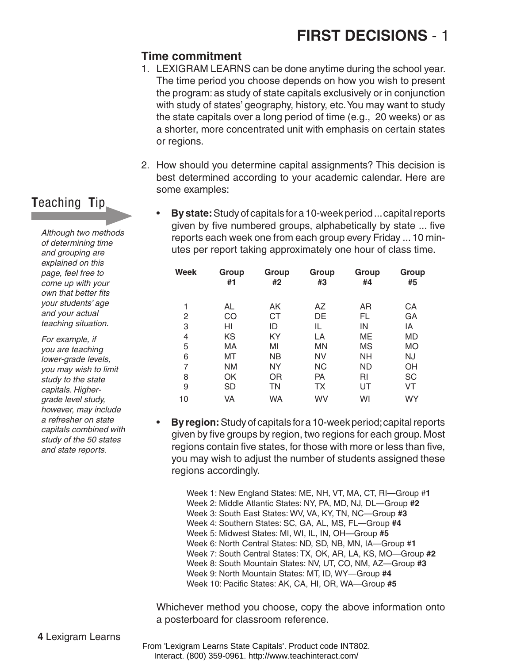## **Time commitment**

- 1. LEXIGRAM LEARNS can be done anytime during the school year. The time period you choose depends on how you wish to present the program: as study of state capitals exclusively or in conjunction with study of states' geography, history, etc. You may want to study the state capitals over a long period of time (e.g., 20 weeks) or as a shorter, more concentrated unit with emphasis on certain states or regions.
- 2. How should you determine capital assignments? This decision is best determined according to your academic calendar. Here are some examples:
	- **By state:** Study of capitals for a 10-week period ... capital reports given by five numbered groups, alphabetically by state ... five reports each week one from each group every Friday ... 10 minutes per report taking approximately one hour of class time.

| <b>Week</b>    | Group<br>#1 | Group<br>#2 | Group<br>#3 | Group<br>#4 | Group<br>#5 |
|----------------|-------------|-------------|-------------|-------------|-------------|
|                |             |             |             |             |             |
| 1              | AL          | AK          | AZ          | AR          | СA          |
| $\overline{2}$ | CO          | <b>CT</b>   | DE          | FL          | GA          |
| 3              | HI          | ID          | IL          | IN          | IA          |
| 4              | KS          | KY          | LA          | ME          | MD          |
| 5              | МA          | MI          | MN          | MS          | <b>MO</b>   |
| 6              | MT          | <b>NB</b>   | <b>NV</b>   | <b>NH</b>   | NJ          |
| 7              | <b>NM</b>   | <b>NY</b>   | <b>NC</b>   | <b>ND</b>   | OH          |
| 8              | OK          | <b>OR</b>   | <b>PA</b>   | RI          | <b>SC</b>   |
| 9              | <b>SD</b>   | ΤN          | ТX          | UT          | VT          |
| 10             | VA          | WA          | WV          | WI          | WY          |

**By region:** Study of capitals for a 10-week period; capital reports given by five groups by region, two regions for each group. Most regions contain five states, for those with more or less than five, you may wish to adjust the number of students assigned these regions accordingly.

Week 1: New England States: ME, NH, VT, MA, CT, RI—Group #**1** Week 2: Middle Atlantic States: NY, PA, MD, NJ, DL—Group **#2** Week 3: South East States: WV, VA, KY, TN, NC—Group **#3** Week 4: Southern States: SC, GA, AL, MS, FL—Group **#4** Week 5: Midwest States: MI, WI, IL, IN, OH—Group **#5** Week 6: North Central States: ND, SD, NB, MN, IA—Group #**1** Week 7: South Central States: TX, OK, AR, LA, KS, MO—Group **#2** Week 8: South Mountain States: NV, UT, CO, NM, AZ—Group **#3** Week 9: North Mountain States: MT, ID, WY—Group **#4** Week 10: Pacific States: AK, CA, HI, OR, WA—Group **#5**

Whichever method you choose, copy the above information onto a posterboard for classroom reference.

## **T**eaching **T**ip

*Although two methods of determining time and grouping are explained on this page, feel free to come up with your own that better fits your students' age and your actual teaching situation.*

*For example, if you are teaching lower‑grade levels, you may wish to limit study to the state capitals. Highergrade level study, however, may include a refresher on state capitals combined with study of the 50 states and state reports.*

From 'Lexigram Learns State Capitals'. Product code INT802. Interact. (800) 359-0961. http://www.teachinteract.com/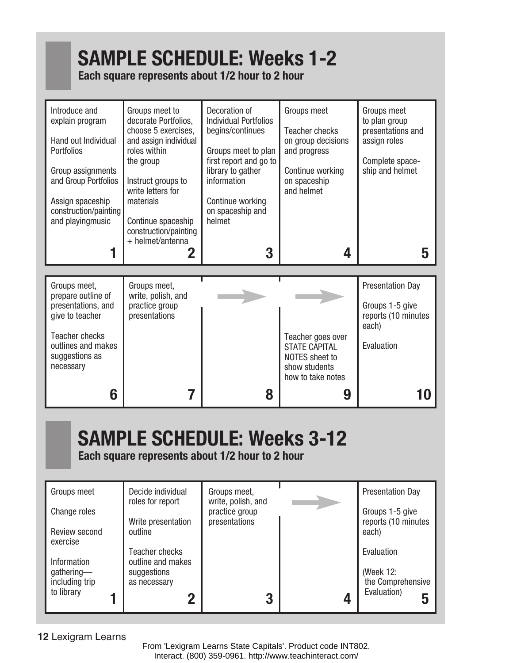# **SAMPLE SCHEDULE: Weeks 1-2**

## **Each square represents about 1/2 hour to 2 hour**

| Introduce and<br>explain program<br>Hand out Individual<br><b>Portfolios</b><br>Group assignments<br>and Group Portfolios<br>Assign spaceship<br>construction/painting<br>and playingmusic | Groups meet to<br>decorate Portfolios,<br>choose 5 exercises,<br>and assign individual<br>roles within<br>the group<br>Instruct groups to<br>write letters for<br>materials<br>Continue spaceship<br>construction/painting<br>+ helmet/antenna<br>2 | Decoration of<br><b>Individual Portfolios</b><br>begins/continues<br>Groups meet to plan<br>first report and go to<br>library to gather<br>information<br>Continue working<br>on spaceship and<br>helmet<br>3 | Groups meet<br>Teacher checks<br>on group decisions<br>and progress<br>Continue working<br>on spaceship<br>and helmet<br>4 | Groups meet<br>to plan group<br>presentations and<br>assign roles<br>Complete space-<br>ship and helmet<br>5 |
|--------------------------------------------------------------------------------------------------------------------------------------------------------------------------------------------|-----------------------------------------------------------------------------------------------------------------------------------------------------------------------------------------------------------------------------------------------------|---------------------------------------------------------------------------------------------------------------------------------------------------------------------------------------------------------------|----------------------------------------------------------------------------------------------------------------------------|--------------------------------------------------------------------------------------------------------------|
| Groups meet,<br>prepare outline of<br>presentations, and<br>give to teacher<br><b>Teacher checks</b><br>outlines and makes<br>suggestions as<br>necessary<br>6                             | Groups meet,<br>write, polish, and<br>practice group<br>presentations                                                                                                                                                                               | 8                                                                                                                                                                                                             | Teacher goes over<br><b>STATE CAPITAL</b><br>NOTES sheet to<br>show students<br>how to take notes<br>9                     | <b>Presentation Day</b><br>Groups 1-5 give<br>reports (10 minutes<br>each)<br>Evaluation                     |

# **SAMPLE SCHEDULE: Weeks 3-12**

**Each square represents about 1/2 hour to 2 hour**

| Groups meet                  | Decide individual<br>roles for report | Groups meet,<br>write, polish, and | <b>Presentation Day</b>                |
|------------------------------|---------------------------------------|------------------------------------|----------------------------------------|
| Change roles                 | Write presentation                    | practice group<br>presentations    | Groups 1-5 give<br>reports (10 minutes |
| Review second<br>exercise    | outline                               |                                    | each)                                  |
| Information                  | Teacher checks<br>outline and makes   |                                    | Evaluation                             |
| gathering-<br>including trip | suggestions<br>as necessary           |                                    | (Week 12:<br>the Comprehensive         |
| to library                   |                                       | 3                                  | Evaluation)<br>5                       |

## **12** Lexigram Learns

From 'Lexigram Learns State Capitals'. Product code INT802. Interact. (800) 359-0961. http://www.teachinteract.com/